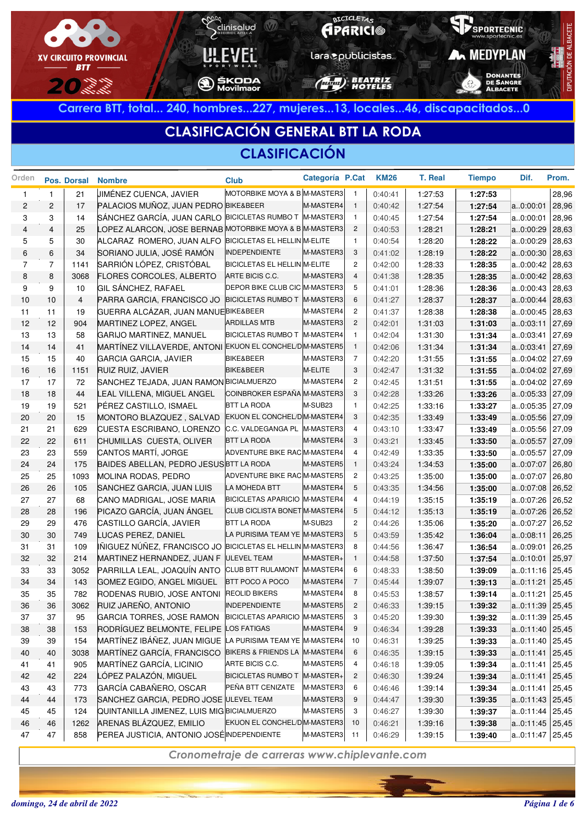

# **CLASIFICACIÓN GENERAL BTT LA RODA**

### **CLASIFICACIÓN**

| Orden                   |                         | Pos. Dorsal    | <b>Nombre</b>                                           | <b>Club</b>                           | Categoría P.Cat |                | <b>KM26</b> | <b>T. Real</b> | <b>Tiempo</b> | Dif.              | Prom. |
|-------------------------|-------------------------|----------------|---------------------------------------------------------|---------------------------------------|-----------------|----------------|-------------|----------------|---------------|-------------------|-------|
| 1                       | $\mathbf{1}$            | 21             | JIMÉNEZ CUENCA, JAVIER                                  | MOTORBIKE MOYA & B M-MASTER3          |                 | $\overline{1}$ | 0:40:41     | 1:27:53        | 1:27:53       |                   | 28,96 |
| $\overline{\mathbf{c}}$ | $\overline{c}$          | 17             | PALACIOS MUÑOZ, JUAN PEDRO BIKE&BEER                    |                                       | M-MASTER4       | $\overline{1}$ | 0:40:42     | 1:27:54        | 1:27:54       | a.0:00:01         | 28,96 |
| 3                       | 3                       | 14             | SÁNCHEZ GARCÍA, JUAN CARLO BICICLETAS RUMBO T M-MASTER3 |                                       |                 | $\mathbf{1}$   | 0:40:45     | 1:27:54        | 1:27:54       | a0:00:01          | 28,96 |
| 4                       | $\overline{\mathbf{4}}$ | 25             | LOPEZ ALARCON, JOSE BERNAB                              | MOTORBIKE MOYA & B M-MASTER3          |                 | $\overline{c}$ | 0:40:53     | 1:28:21        | 1:28:21       | a0:00:29          | 28,63 |
| 5                       | 5                       | 30             | ALCARAZ ROMERO, JUAN ALFO BICICLETAS EL HELLIN M-ELITE  |                                       |                 | $\mathbf{1}$   | 0:40:54     | 1:28:20        | 1:28:22       | a0:00:29          | 28,63 |
| 6                       | 6                       | 34             | SORIANO JULIA, JOSÉ RAMÓN                               | <b>INDEPENDIENTE</b>                  | M-MASTER3       | 3              | 0:41:02     | 1:28:19        | 1:28:22       | a0:00:30          | 28,63 |
| $\overline{7}$          | $\overline{7}$          | 1141           | SARRIÓN LÓPEZ, CRISTÓBAL                                | <b>BICICLETAS EL HELLIN M-ELITE</b>   |                 | $\overline{c}$ | 0:42:00     | 1:28:33        | 1:28:35       | a0:00:42          | 28,63 |
| 8                       | 8                       | 3068           | <b>FLORES CORCOLES, ALBERTO</b>                         | ARTE BICIS C.C.                       | M-MASTER3       | $\overline{4}$ | 0:41:38     | 1:28:35        | 1:28:35       | $a.0:00:42$ 28,63 |       |
| 9                       | 9                       | 10             | <b>GIL SÁNCHEZ, RAFAEL</b>                              | DEPOR BIKE CLUB CIC M-MASTER3         |                 | 5              | 0:41:01     | 1:28:36        | 1:28:36       | a0:00:43          | 28,63 |
| $10$                    | 10                      | $\overline{4}$ | PARRA GARCIA, FRANCISCO JO                              | <b>BICICLETAS RUMBO T</b>             | M-MASTER3       | 6              | 0:41:27     | 1:28:37        | 1:28:37       | a0:00:44          | 28,63 |
| 11                      | 11                      | 19             | GUERRA ALCÁZAR, JUAN MANUEBIKE&BEER                     |                                       | M-MASTER4       | $\overline{c}$ | 0:41:37     | 1:28:38        | 1:28:38       | a0:00:45          | 28,63 |
| 12                      | 12                      | 904            | MARTINEZ LOPEZ, ANGEL                                   | <b>ARDILLAS MTB</b>                   | M-MASTER3       | $\overline{c}$ | 0:42:01     | 1:31:03        | 1:31:03       | a0:03:11          | 27,69 |
| 13                      | 13                      | 58             | GARIJO MARTINEZ, MANUEL                                 | <b>BICICLETAS RUMBO T</b>             | M-MASTER4       | $\mathbf{1}$   | 0:42:04     | 1:31:30        | 1:31:34       | a0:03:41          | 27,69 |
| 14                      | 14                      | 41             | MARTÍNEZ VILLAVERDE, ANTONI EKUON EL CONCHEL/DM-MASTER5 |                                       |                 | $\mathbf{1}$   | 0:42:06     | 1:31:34        | 1:31:34       | a0:03:41          | 27,69 |
| 15                      | 15                      | 40             | GARCIA GARCIA, JAVIER                                   | <b>BIKE&amp;BEER</b>                  | M-MASTER3       | $\overline{7}$ | 0:42:20     | 1:31:55        | 1:31:55       | a0:04:02          | 27,69 |
| 16                      | 16                      | 1151           | <b>RUIZ RUIZ, JAVIER</b>                                | <b>BIKE&amp;BEER</b>                  | M-ELITE         | 3              | 0:42:47     | 1:31:32        | 1:31:55       | a0:04:02 27,69    |       |
| 17                      | 17                      | 72             | SANCHEZ TEJADA, JUAN RAMON BICIALMUERZO                 |                                       | M-MASTER4       | $\overline{c}$ | 0:42:45     | 1:31:51        | 1:31:55       | a0:04:02 27,69    |       |
| 18                      | 18                      | 44             | LEAL VILLENA, MIGUEL ANGEL                              | COINBROKER ESPAÑA M-MASTER3           |                 | 3              | 0:42:28     | 1:33:26        | 1:33:26       | a0:05:33          | 27,09 |
| 19                      | 19                      | 521            | PÉREZ CASTILLO, ISMAEL                                  | <b>BTT LA RODA</b>                    | M-SUB23         | $\mathbf{1}$   | 0:42:25     | 1:33:16        | 1:33:27       | a0:05:35          | 27,09 |
| 20                      | 20                      | 15             | MONTORO BLAZQUEZ, SALVAD                                | EKUON EL CONCHEL/D M-MASTER4          |                 | 3              | 0:42:35     | 1:33:49        | 1:33:49       | a0:05:56          | 27,09 |
| 21                      | 21                      | 629            | CUESTA ESCRIBANO, LORENZO                               | C.C. VALDEGANGA PL M-MASTER3          |                 | 4              | 0:43:10     | 1:33:47        | 1:33:49       | a0:05:56          | 27,09 |
| 22                      | 22                      | 611            | CHUMILLAS CUESTA, OLIVER                                | <b>BTT LA RODA</b>                    | M-MASTER4       | 3              | 0:43:21     | 1:33:45        | 1:33:50       | a0:05:57          | 27,09 |
| 23                      | 23                      | 559            | CANTOS MARTÍ, JORGE                                     | ADVENTURE BIKE RAC M-MASTER4          |                 | 4              | 0:42:49     | 1:33:35        | 1:33:50       | a0:05:57          | 27,09 |
| 24                      | 24                      | 175            | BAIDES ABELLAN, PEDRO JESUS BTT LA RODA                 |                                       | M-MASTER5       | $\mathbf{1}$   | 0:43:24     | 1:34:53        | 1:35:00       | a0:07:07          | 26,80 |
| 25                      | 25                      | 1093           | MOLINA RODAS, PEDRO                                     | ADVENTURE BIKE RAC M-MASTER5          |                 | $\overline{c}$ | 0:43:25     | 1:35:00        | 1:35:00       | a0:07:07          | 26,80 |
| 26                      | 26                      | 105            | SANCHEZ GARCIA, JUAN LUIS                               | LA MOHEDA BTT                         | M-MASTER4       | 5              | 0:43:35     | 1:34:56        | 1:35:00       | a0:07:08          | 26,52 |
| 27                      | 27                      | 68             | CANO MADRIGAL, JOSE MARIA                               | <b>BICICLETAS APARICIO M-MASTER4</b>  |                 | 4              | 0:44:19     | 1:35:15        | 1:35:19       | a0:07:26          | 26,52 |
| 28                      | 28                      | 196            | PICAZO GARCÍA, JUAN ÁNGEL                               | CLUB CICLISTA BONET M-MASTER4         |                 | 5              | 0:44:12     | 1:35:13        | 1:35:19       | a0:07:26          | 26,52 |
| 29                      | 29                      | 476            | CASTILLO GARCÍA, JAVIER                                 | <b>BTT LA RODA</b>                    | M-SUB23         | $\overline{c}$ | 0:44:26     | 1:35:06        | 1:35:20       | a0:07:27          | 26,52 |
| 30                      | 30                      | 749            | LUCAS PEREZ, DANIEL                                     | LA PURISIMA TEAM YE M-MASTER3         |                 | 5              | 0:43:59     | 1:35:42        | 1:36:04       | a0:08:11          | 26,25 |
| 31                      | 31                      | 109            | IÑIGUEZ NÚÑEZ, FRANCISCO JO                             | <b>BICICLETAS EL HELLIN M-MASTER3</b> |                 | 8              | 0:44:56     | 1:36:47        | 1:36:54       | a0:09:01          | 26,25 |
| 32                      | 32                      | 214            | MARTINEZ HERNANDEZ, JUAN F                              | <b>ULEVEL TEAM</b>                    | M-MASTER+       | $\overline{1}$ | 0:44:58     | 1:37:50        | 1:37:54       | a0:10:01          | 25,97 |
| 33                      | 33                      | 3052           | PARRILLA LEAL, JOAQUÍN ANTO                             | <b>CLUB BTT RULAMONT</b>              | M-MASTER4       | 6              | 0:48:33     | 1:38:50        | 1:39:09       | a0:11:16          | 25,45 |
| 34                      | 34                      | 143            | GOMEZ EGIDO, ANGEL MIGUEL                               | <b>BTT POCO A POCO</b>                | M-MASTER4       | $\overline{7}$ | 0:45:44     | 1:39:07        | 1:39:13       | a0:11:21          | 25,45 |
| 35                      | 35                      | 782            | RODENAS RUBIO, JOSE ANTONI                              | <b>REOLID BIKERS</b>                  | M-MASTER4       | 8              | 0:45:53     | 1:38:57        | 1:39:14       | a0:11:21          | 25,45 |
| 36                      | 36                      | 3062           | RUIZ JAREÑO, ANTONIO                                    | <b>INDEPENDIENTE</b>                  | M-MASTER5       | $\overline{c}$ | 0:46:33     | 1:39:15        | 1:39:32       | a0:11:39 25,45    |       |
| 37                      | 37                      | 95             | GARCIA TORRES, JOSE RAMON                               | BICICLETAS APARICIO M-MASTER5         |                 | 3              | 0:45:20     | 1:39:30        | 1:39:32       | $a.0:11:39$ 25,45 |       |
| 38                      | 38                      | 153            | RODRÍGUEZ BELMONTE, FELIPE                              | LOS FATIGAS                           | M-MASTER4       | 9              | 0:46:34     | 1:39:28        | 1:39:33       | $a.0:11:40$ 25,45 |       |
| 39                      | 39                      | 154            | MARTÍNEZ IBÁÑEZ, JUAN MIGUE                             | LA PURISIMA TEAM YE M-MASTER4         |                 | 10             | 0:46:31     | 1:39:25        | 1:39:33       | $a.0:11:40$ 25,45 |       |
| 40                      | 40                      | 3038           | MARTÍNEZ GARCÍA, FRANCISCO                              | BIKERS & FRIENDS LA M-MASTER4         |                 | 6              | 0:46:35     | 1:39:15        | 1:39:33       | $a.0:11:41$ 25,45 |       |
| 41                      | 41                      | 905            | MARTÍNEZ GARCÍA, LICINIO                                | ARTE BICIS C.C.                       | M-MASTER5       | 4              | 0:46:18     | 1:39:05        | 1:39:34       | a.0:11:41         | 25,45 |
| 42                      | 42                      | 224            | LÓPEZ PALAZÓN, MIGUEL                                   | <b>BICICLETAS RUMBO T</b>             | M-MASTER+       | $\overline{c}$ | 0:46:30     | 1:39:24        | 1:39:34       | $a.0:11:41$ 25,45 |       |
| 43                      | 43                      | 773            | GARCÍA CABAÑERO, OSCAR                                  | PEÑA BTT CENIZATE                     | M-MASTER3       | 6              | 0:46:46     | 1:39:14        | 1:39:34       | $a.0:11:41$ 25,45 |       |
| 44                      | 44                      | 173            | SANCHEZ GARCIA, PEDRO JOSE ULEVEL TEAM                  |                                       | M-MASTER3       | 9              | 0:44:47     | 1:39:30        | 1:39:35       | $a.0:11:43$ 25,45 |       |
| 45                      | 45                      | 124            | QUINTANILLA JIMENEZ, LUIS MIGBICIALMUERZO               |                                       | M-MASTER5       | 3              | 0:46:27     | 1:39:30        | 1:39:37       | $a.0:11:44$ 25,45 |       |
| 46                      | 46                      | 1262           | ARENAS BLÁZQUEZ, EMILIO                                 | EKUON EL CONCHEL/DM-MASTER3           |                 | 10             | 0:46:21     | 1:39:16        | 1:39:38       | $a.0:11:45$ 25,45 |       |
| 47                      | 47                      | 858            | PEREA JUSTICIA, ANTONIO JOSÉ INDEPENDIENTE              |                                       | M-MASTER3       | 11             | 0:46:29     | 1:39:15        | 1:39:40       | $a.0:11:47$ 25,45 |       |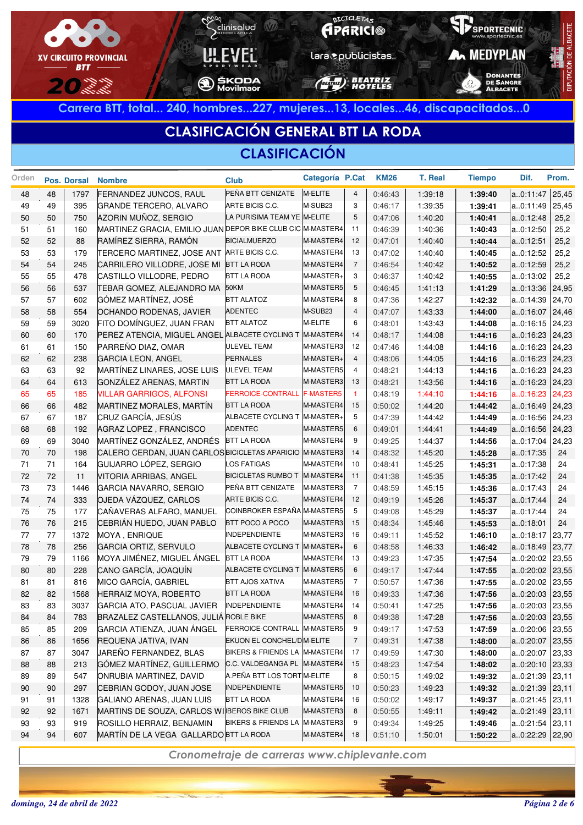

## **CLASIFICACIÓN GENERAL BTT LA RODA**

### **CLASIFICACIÓN**

| Orden |    | Pos. Dorsal | <b>Nombre</b>                                              | <b>Club</b>                    | Categoría P.Cat  |                         | <b>KM26</b> | <b>T. Real</b> | <b>Tiempo</b> | Dif.              | Prom. |
|-------|----|-------------|------------------------------------------------------------|--------------------------------|------------------|-------------------------|-------------|----------------|---------------|-------------------|-------|
| 48    | 48 | 1797        | FERNANDEZ JUNCOS, RAUL                                     | PEÑA BTT CENIZATE              | M-ELITE          | $\overline{4}$          | 0:46:43     | 1:39:18        | 1:39:40       | a0:11:47          | 25,45 |
| 49    | 49 | 395         | GRANDE TERCERO, ALVARO                                     | ARTE BICIS C.C.                | M-SUB23          | 3                       | 0:46:17     | 1:39:35        | 1:39:41       | a0:11:49          | 25,45 |
| 50    | 50 | 750         | AZORIN MUÑOZ, SERGIO                                       | LA PURISIMA TEAM YE M-ELITE    |                  | 5                       | 0:47:06     | 1:40:20        | 1:40:41       | a0:12:48          | 25,2  |
| 51    | 51 | 160         | MARTINEZ GRACIA, EMILIO JUAN DEPOR BIKE CLUB CIC M-MASTER4 |                                |                  | 11                      | 0:46:39     | 1:40:36        | 1:40:43       | a0:12:50          | 25,2  |
| 52    | 52 | 88          | RAMÍREZ SIERRA, RAMÓN                                      | <b>BICIALMUERZO</b>            | M-MASTER4        | 12                      | 0:47:01     | 1:40:40        | 1:40:44       | a0:12:51          | 25,2  |
| 53    | 53 | 179         | TERCERO MARTINEZ, JOSE ANT                                 | ARTE BICIS C.C.                | M-MASTER4        | 13                      | 0:47:02     | 1:40:40        | 1:40:45       | a0:12:52          | 25,2  |
| 54    | 54 | 245         | CARRILERO VILLODRE, JOSE MI                                | <b>BTT LA RODA</b>             | M-MASTER4        | $\overline{7}$          | 0:46:54     | 1:40:42        | 1:40:52       | a0:12:59          | 25,2  |
| 55    | 55 | 478         | CASTILLO VILLODRE, PEDRO                                   | <b>BTT LA RODA</b>             | M-MASTER+        | 3                       | 0:46:37     | 1:40:42        | 1:40:55       | a0:13:02          | 25,2  |
| 56    | 56 | 537         | TEBAR GOMEZ, ALEJANDRO MA                                  | 50KM                           | M-MASTER5        | 5                       | 0:46:45     | 1:41:13        | 1:41:29       | a0:13:36 24,95    |       |
| 57    | 57 | 602         | GÓMEZ MARTÍNEZ, JOSÉ                                       | <b>BTT ALATOZ</b>              | M-MASTER4        | 8                       | 0:47:36     | 1:42:27        | 1:42:32       | a0:14:39          | 24,70 |
| 58    | 58 | 554         | OCHANDO RODENAS, JAVIER                                    | ADENTEC                        | M-SUB23          | $\overline{\mathbf{4}}$ | 0:47:07     | 1:43:33        | 1:44:00       | a0:16:07          | 24,46 |
| 59    | 59 | 3020        | FITO DOMÍNGUEZ, JUAN FRAN                                  | <b>BTT ALATOZ</b>              | M-ELITE          | 6                       | 0:48:01     | 1:43:43        | 1:44:08       | a.0:16:15         | 24,23 |
| 60    | 60 | 170         | PEREZ ATENCIA, MIGUEL ANGEL ALBACETE CYCLING T             |                                | M-MASTER4        | 14                      | 0:48:17     | 1:44:08        | 1:44:16       | a0:16:23          | 24,23 |
| 61    | 61 | 150         | PARREÑO DIAZ, OMAR                                         | ULEVEL TEAM                    | M-MASTER3        | 12                      | 0:47:46     | 1:44:08        | 1:44:16       | a0:16:23          | 24,23 |
| 62    | 62 | 238         | <b>GARCIA LEON, ANGEL</b>                                  | <b>PERNALES</b>                | M-MASTER+        | $\overline{4}$          | 0:48:06     | 1:44:05        | 1:44:16       | a.0:16:23         | 24,23 |
| 63    | 63 | 92          | MARTÍNEZ LINARES, JOSE LUIS                                | ULEVEL TEAM                    | M-MASTER5        | 4                       | 0:48:21     | 1:44:13        | 1:44:16       | a0:16:23          | 24,23 |
| 64    | 64 | 613         | GONZÁLEZ ARENAS, MARTIN                                    | <b>BTT LA RODA</b>             | M-MASTER3        | 13                      | 0:48:21     | 1:43:56        | 1:44:16       | a.0:16:23         | 24,23 |
| 65    | 65 | 185         | <b>VILLAR GARRIGOS, ALFONSI</b>                            | <b>FERROICE-CONTRALL</b>       | <b>F-MASTER5</b> | $\overline{1}$          | 0:48:19     | 1:44:10        | 1:44:16       | a0:16:23          | 24,23 |
| 66    | 66 | 482         | MARTINEZ MORALES, MARTÍN                                   | <b>BTT LA RODA</b>             | M-MASTER4        | 15                      | 0:50:02     | 1:44:20        | 1:44:42       | a0:16:49          | 24,23 |
| 67    | 67 | 187         | CRUZ GARCÍA, JESÚS                                         | ALBACETE CYCLING T             | M-MASTER+        | 5                       | 0:47:39     | 1:44:42        | 1:44:49       | a0:16:56 24,23    |       |
| 68    | 68 | 192         | AGRAZ LOPEZ, FRANCISCO                                     | <b>ADENTEC</b>                 | M-MASTER5        | 6                       | 0:49:01     | 1:44:41        | 1:44:49       | a0:16:56          | 24,23 |
| 69    | 69 | 3040        | MARTÍNEZ GONZÁLEZ, ANDRÉS                                  | <b>BTT LA RODA</b>             | M-MASTER4        | 9                       | 0:49:25     | 1:44:37        | 1:44:56       | a0:17:04          | 24,23 |
| 70    | 70 | 198         | CALERO CERDAN, JUAN CARLOS BICICLETAS APARICIO             |                                | M-MASTER3        | 14                      | 0:48:32     | 1:45:20        | 1:45:28       | a0:17:35          | 24    |
| 71    | 71 | 164         | <b>GUIJARRO LÓPEZ, SERGIO</b>                              | <b>LOS FATIGAS</b>             | M-MASTER4        | 10                      | 0:48:41     | 1:45:25        | 1:45:31       | a0:17:38          | 24    |
| 72    | 72 | 11          | VITORIA ARRIBAS, ANGEL                                     | <b>BICICLETAS RUMBO T</b>      | M-MASTER4        | 11                      | 0:41:38     | 1:45:35        | 1:45:35       | a0:17:42          | 24    |
| 73    | 73 | 1446        | GARCIA NAVARRO, SERGIO                                     | PEÑA BTT CENIZATE              | M-MASTER3        | $\overline{7}$          | 0:48:59     | 1:45:15        | 1:45:36       | a0:17:43          | 24    |
| 74    | 74 | 333         | OJEDA VÁZQUEZ, CARLOS                                      | ARTE BICIS C.C.                | M-MASTER4        | 12                      | 0:49:19     | 1:45:26        | 1:45:37       | a0:17:44          | 24    |
| 75    | 75 | 177         | CAÑAVERAS ALFARO, MANUEL                                   | COINBROKER ESPAÑA M-MASTER5    |                  | 5                       | 0:49:08     | 1:45:29        | 1:45:37       | a0:17:44          | 24    |
| 76    | 76 | 215         | CEBRIÁN HUEDO, JUAN PABLO                                  | <b>BTT POCO A POCO</b>         | M-MASTER3        | 15                      | 0:48:34     | 1:45:46        | 1:45:53       | a0:18:01          | 24    |
| 77    | 77 | 1372        | MOYA, ENRIQUE                                              | <b>INDEPENDIENTE</b>           | M-MASTER3        | 16                      | 0:49:11     | 1:45:52        | 1:46:10       | a0:18:17          | 23,77 |
| 78    | 78 | 256         | GARCIA ORTIZ, SERVULO                                      | ALBACETE CYCLING T             | M-MASTER+        | 6                       | 0:48:58     | 1:46:33        | 1:46:42       | a0:18:49          | 23,77 |
| 79    | 79 | 1166        | MOYA JIMÉNEZ, MIGUEL ÁNGEL                                 | <b>BTT LA RODA</b>             | M-MASTER4        | 13                      | 0:49:23     | 1:47:35        | 1:47:54       | a0:20:02          | 23,55 |
| 80    | 80 | 228         | CANO GARCÍA, JOAQUÍN                                       | ALBACETE CYCLING T             | M-MASTER5        | 6                       | 0:49:17     | 1:47:44        | 1:47:55       | a0:20:02          | 23,55 |
| 81    | 81 | 816         | MICO GARCÍA, GABRIEL                                       | <b>BTT AJOS XATIVA</b>         | M-MASTER5        | $\overline{7}$          | 0:50:57     | 1:47:36        | 1:47:55       | a0:20:02          | 23,55 |
| 82    | 82 | 1568        | <b>HERRAIZ MOYA, ROBERTO</b>                               | <b>BTT LA RODA</b>             | M-MASTER4        | 16                      | 0:49:33     | 1:47:36        | 1:47:56       | a0:20:03          | 23,55 |
| 83    | 83 | 3037        | GARCIA ATO, PASCUAL JAVIER                                 | <b>INDEPENDIENTE</b>           | M-MASTER4        | 14                      | 0:50:41     | 1:47:25        | 1:47:56       | a0:20:03 23,55    |       |
| 84    | 84 | 783         | BRAZALEZ CASTELLANOS, JULIÁ ROBLE BIKE                     |                                | M-MASTER5        | 8                       | 0:49:38     | 1:47:28        | 1:47:56       | $a.0:20:03$ 23,55 |       |
| 85    | 85 | 209         | GARCIA ATIENZA, JUAN ÁNGEL                                 | FERROICE-CONTRALL M-MASTER5    |                  | 9                       | 0:49:17     | 1:47:53        | 1:47:59       | a0:20:06 23,55    |       |
| 86    | 86 | 1656        | REQUENA JATIVA, IVAN                                       | EKUON EL CONCHEL/D M-ELITE     |                  | $\overline{7}$          | 0:49:31     | 1:47:38        | 1:48:00       | $a.0:20:07$ 23,55 |       |
| 87    | 87 | 3047        | JAREÑO FERNANDEZ, BLAS                                     | BIKERS & FRIENDS LA M-MASTER4  |                  | 17                      | 0:49:59     | 1:47:30        | 1:48:00       | a0:20:07 23,33    |       |
| 88    | 88 | 213         | GÓMEZ MARTÍNEZ, GUILLERMO                                  | C.C. VALDEGANGA PL M-MASTER4   |                  | 15                      | 0:48:23     | 1:47:54        | 1:48:02       | $a.0:20:10$ 23,33 |       |
| 89    | 89 | 547         | ONRUBIA MARTINEZ, DAVID                                    | A.PEÑA BTT LOS TORT M-ELITE    |                  | 8                       | 0:50:15     | 1:49:02        | 1:49:32       | $a.0:21:39$ 23,11 |       |
| 90    | 90 | 297         | CEBRIAN GODOY, JUAN JOSE                                   | <b>INDEPENDIENTE</b>           | M-MASTER5        | 10                      | 0:50:23     | 1:49:23        | 1:49:32       | $a.0:21:39$ 23,11 |       |
| 91    | 91 | 1328        | GALIANO ARENAS, JUAN LUIS                                  | <b>BTT LA RODA</b>             | M-MASTER4        | 16                      | 0:50:02     | 1:49:17        | 1:49:37       | $a.0:21:45$ 23,11 |       |
| 92    | 92 | 1671        | MARTINS DE SOUZA, CARLOS WI BEROS BIKE CLUB                |                                | M-MASTER3        | 8                       | 0:50:55     | 1:49:11        | 1:49:42       | $a.0:21:49$ 23,11 |       |
| 93    | 93 | 919         | ROSILLO HERRAIZ, BENJAMIN                                  | <b>BIKERS &amp; FRIENDS LA</b> | M-MASTER3        | 9                       | 0:49:34     | 1:49:25        | 1:49:46       | $a.0:21:54$ 23,11 |       |
| 94    | 94 | 607         | MARTÍN DE LA VEGA GALLARDO BTT LA RODA                     |                                | M-MASTER4        | 18                      | 0:51:10     | 1:50:01        | 1:50:22       | $a.0:22:29$ 22,90 |       |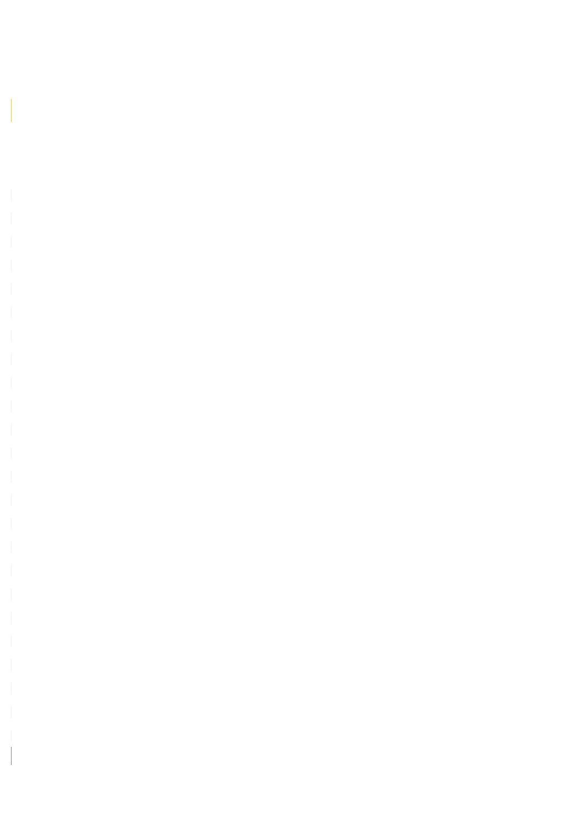$\frac{1}{1}$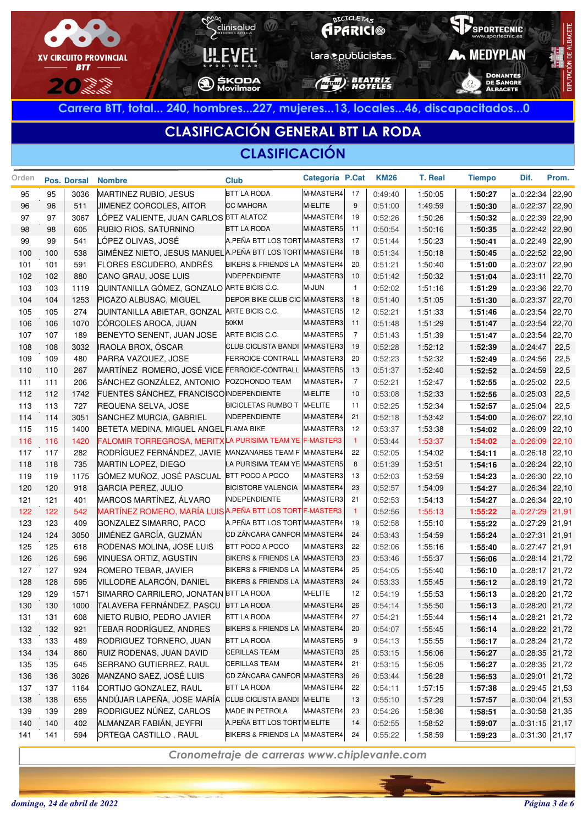

## **CLASIFICACIÓN GENERAL BTT LA RODA**

### **CLASIFICACIÓN**

| Orden |     | Pos. Dorsal | <b>Nombre</b>                                             | <b>Club</b>                   | Categoría P.Cat |                | <b>KM26</b> | <b>T. Real</b> | <b>Tiempo</b> | Dif.              | Prom. |
|-------|-----|-------------|-----------------------------------------------------------|-------------------------------|-----------------|----------------|-------------|----------------|---------------|-------------------|-------|
| 95    | 95  | 3036        | MARTINEZ RUBIO, JESUS                                     | <b>BTT LA RODA</b>            | M-MASTER4       | 17             | 0:49:40     | 1:50:05        | 1:50:27       | a0:22:34          | 22,90 |
| 96    | 96  | 511         | <b>JIMENEZ CORCOLES, AITOR</b>                            | <b>CC MAHORA</b>              | <b>M-ELITE</b>  | 9              | 0:51:00     | 1:49:59        | 1:50:30       | a0:22:37          | 22,90 |
| 97    | 97  | 3067        | LÓPEZ VALIENTE, JUAN CARLOS BTT ALATOZ                    |                               | M-MASTER4       | 19             | 0:52:26     | 1:50:26        | 1:50:32       | a0:22:39          | 22,90 |
| 98    | 98  | 605         | RUBIO RIOS, SATURNINO                                     | <b>BTT LA RODA</b>            | M-MASTER5       | 11             | 0:50:54     | 1:50:16        | 1:50:35       | a0:22:42          | 22,90 |
| 99    | 99  | 541         | LÓPEZ OLIVAS, JOSÉ                                        | A.PEÑA BTT LOS TORT M-MASTER3 |                 | 17             | 0:51:44     | 1:50:23        | 1:50:41       | a0:22:49          | 22,90 |
| 100   | 100 | 538         | GIMÉNEZ NIETO, JESUS MANUEL A PEÑA BTT LOS TORT M-MASTER4 |                               |                 | 18             | 0:51:34     | 1:50:18        | 1:50:45       | a0:22:52          | 22,90 |
| 101   | 101 | 591         | FLORES ESCUDERO, ANDRÉS                                   | BIKERS & FRIENDS LA M-MASTER4 |                 | 20             | 0:51:21     | 1:50:40        | 1:51:00       | a0:23:07          | 22,90 |
| 102   | 102 | 880         | CANO GRAU, JOSE LUIS                                      | <b>INDEPENDIENTE</b>          | M-MASTER3       | 10             | 0:51:42     | 1:50:32        | 1:51:04       | a0:23:11          | 22,70 |
| 103   | 103 | 1119        | QUINTANILLA GÓMEZ, GONZALO ARTE BICIS C.C.                |                               | M-JUN           | $\mathbf{1}$   | 0:52:02     | 1:51:16        | 1:51:29       | a0:23:36          | 22,70 |
| 104   | 104 | 1253        | PICAZO ALBUSAC, MIGUEL                                    | DEPOR BIKE CLUB CIC M-MASTER3 |                 | 18             | 0:51:40     | 1:51:05        | 1:51:30       | a0:23:37          | 22,70 |
| 105   | 105 | 274         | QUINTANILLA ABIETAR, GONZAL                               | ARTE BICIS C.C.               | M-MASTER5       | 12             | 0:52:21     | 1:51:33        | 1:51:46       | a0:23:54          | 22,70 |
| 106   | 106 | 1070        | CÓRCOLES AROCA, JUAN                                      | <b>50KM</b>                   | M-MASTER3       | 11             | 0:51:48     | 1:51:29        | 1:51:47       | a0:23:54          | 22,70 |
| 107   | 107 | 189         | BENEYTO SENENT, JUAN JOSE                                 | ARTE BICIS C.C.               | M-MASTER5       | $\overline{7}$ | 0:51:43     | 1:51:39        | 1:51:47       | a0:23:54          | 22,70 |
| 108   | 108 | 3032        | IRAOLA BROX, ÓSCAR                                        | CLUB CICLISTA BANDI           | M-MASTER3       | 19             | 0:52:28     | 1:52:12        | 1:52:39       | a0:24:47          | 22,5  |
| 109   | 109 | 480         | PARRA VAZQUEZ, JOSE                                       | FERROICE-CONTRALL M-MASTER3   |                 | 20             | 0:52:23     | 1:52:32        | 1:52:49       | a0:24:56          | 22,5  |
| 110   | 110 | 267         | MARTÍNEZ ROMERO, JOSÉ VICE FERROICE-CONTRALL M-MASTER5    |                               |                 | 13             | 0:51:37     | 1:52:40        | 1:52:52       | a0:24:59          | 22,5  |
| 111   | 111 | 206         | SÁNCHEZ GONZÁLEZ, ANTONIO                                 | POZOHONDO TEAM                | M-MASTER+       | $\overline{7}$ | 0:52:21     | 1:52:47        | 1:52:55       | a0:25:02          | 22,5  |
| 112   | 112 | 1742        | FUENTES SÁNCHEZ, FRANCISCO INDEPENDIENTE                  |                               | M-ELITE         | 10             | 0:53:08     | 1:52:33        | 1:52:56       | a0:25:03          | 22,5  |
| 113   | 113 | 727         | REQUENA SELVA, JOSE                                       | <b>BICICLETAS RUMBO T</b>     | M-ELITE         | 11             | 0:52:25     | 1:52:34        | 1:52:57       | a0:25:04          | 22,5  |
| 114   | 114 | 3051        | SANCHEZ MURCIA, GABRIEL                                   | <b>INDEPENDIENTE</b>          | M-MASTER4       | 21             | 0:52:18     | 1:53:42        | 1:54:00       | a0:26:07          | 22,10 |
| 115   | 115 | 1400        | BETETA MEDINA, MIGUEL ANGEL FLAMA BIKE                    |                               | M-MASTER3       | 12             | 0:53:37     | 1:53:38        | 1:54:02       | a0:26:09          | 22,10 |
| 116   | 116 | 1420        | FALOMIR TORREGROSA, MERITXLA PURISIMA TEAM YE F-MASTER3   |                               |                 | $\overline{1}$ | 0:53:44     | 1:53:37        | 1:54:02       | a0:26:09          | 22,10 |
| 117   | 117 | 282         | RODRÍGUEZ FERNÁNDEZ, JAVIE MANZANARES TEAM F M-MASTER4    |                               |                 | 22             | 0:52:05     | 1:54:02        | 1:54:11       | a0:26:18          | 22,10 |
| 118   | 118 | 735         | MARTIN LOPEZ, DIEGO                                       | LA PURISIMA TEAM YE M-MASTER5 |                 | 8              | 0:51:39     | 1:53:51        | 1:54:16       | a0:26:24          | 22,10 |
| 119   | 119 | 1175        | GÓMEZ MUÑOZ, JOSÉ PASCUAL BTT POCO A POCO                 |                               | M-MASTER3       | 13             | 0:52:03     | 1:53:59        | 1:54:23       | a0:26:30          | 22,10 |
| 120   | 120 | 918         | <b>GARCIA PEREZ, JULIO</b>                                | <b>BICISTORE VALENCIA</b>     | M-MASTER4       | 23             | 0:52:57     | 1:54:09        | 1:54:27       | a0:26:34          | 22,10 |
| 121   | 121 | 401         | MARCOS MARTÍNEZ, ÁLVARO                                   | <b>INDEPENDIENTE</b>          | M-MASTER3       | 21             | 0:52:53     | 1:54:13        | 1:54:27       | a0:26:34          | 22,10 |
| 122   | 122 | 542         | MARTÍNEZ ROMERO, MARÍA LUISA.PEÑA BTT LOS TORT F-MASTER3  |                               |                 | $\overline{1}$ | 0:52:56     | 1:55:13        | 1:55:22       | a0:27:29          | 21,91 |
| 123   | 123 | 409         | GONZALEZ SIMARRO, PACO                                    | A.PEÑA BTT LOS TORT M-MASTER4 |                 | 19             | 0:52:58     | 1:55:10        | 1:55:22       | a0:27:29          | 21,91 |
| 124   | 124 | 3050        | JIMÉNEZ GARCÍA, GUZMÁN                                    | CD ZÁNCARA CANFOR M-MASTER4   |                 | 24             | 0:53:43     | 1:54:59        | 1:55:24       | a0:27:31          | 21,91 |
| 125   | 125 | 618         | RODENAS MOLINA, JOSE LUIS                                 | <b>BTT POCO A POCO</b>        | M-MASTER3       | 22             | 0:52:06     | 1:55:16        | 1:55:40       | a0:27:47          | 21,91 |
| 126   | 126 | 596         | VINUESA ORTIZ, AGUSTIN                                    | BIKERS & FRIENDS LA M-MASTER3 |                 | 23             | 0:53:46     | 1:55:37        | 1:56:06       | a0:28:14          | 21,72 |
| 127   | 127 | 924         | ROMERO TEBAR, JAVIER                                      | BIKERS & FRIENDS LA M-MASTER4 |                 | 25             | 0:54:05     | 1:55:40        | 1:56:10       | a0:28:17          | 21,72 |
| 128   | 128 | 595         | VILLODRE ALARCÓN, DANIEL                                  | BIKERS & FRIENDS LA M-MASTER3 |                 | 24             | 0:53:33     | 1:55:45        | 1:56:12       | a0:28:19          | 21,72 |
| 129   | 129 | 1571        | SIMARRO CARRILERO, JONATAN BTT LA RODA                    |                               | M-ELITE         | 12             | 0:54:19     | 1:55:53        | 1:56:13       | a0:28:20          | 21,72 |
| 130   | 130 | 1000        | TALAVERA FERNÁNDEZ, PASCU BTT LA RODA                     |                               | M-MASTER4       | 26             | 0:54:14     | 1:55:50        | 1:56:13       | a0:28:20 21,72    |       |
| 131   | 131 | 608         | NIETO RUBIO, PEDRO JAVIER                                 | <b>BTT LA RODA</b>            | M-MASTER4       | 27             | 0:54:21     | 1:55:44        | 1:56:14       | a0:28:21 21,72    |       |
| 132   | 132 | 921         | TEBAR RODRÍGUEZ, ANDRES                                   | BIKERS & FRIENDS LA M-MASTER4 |                 | 20             | 0:54:07     | 1:55:45        | 1:56:14       | $a.0:28:22$ 21,72 |       |
| 133   | 133 | 489         | RODRIGUEZ TORNERO, JUAN                                   | <b>BTT LA RODA</b>            | M-MASTER5       | 9              | 0:54:13     | 1:55:55        | 1:56:17       | $a.0:28:24$ 21,72 |       |
| 134   | 134 | 860         | RUIZ RODENAS, JUAN DAVID                                  | <b>CERILLAS TEAM</b>          | M-MASTER3       | 25             | 0:53:15     | 1:56:06        | 1:56:27       | a0:28:35 21,72    |       |
| 135   | 135 | 645         | SERRANO GUTIERREZ, RAUL                                   | <b>CERILLAS TEAM</b>          | M-MASTER4       | 21             | 0:53:15     | 1:56:05        | 1:56:27       | a0:28:35 21,72    |       |
| 136   | 136 | 3026        | MANZANO SAEZ, JOSÉ LUIS                                   | CD ZÁNCARA CANFOR M-MASTER3   |                 | 26             | 0:53:44     | 1:56:28        | 1:56:53       | a0:29:01 21,72    |       |
| 137   | 137 | 1164        | CORTIJO GONZALEZ, RAUL                                    | <b>BTT LA RODA</b>            | M-MASTER4       | 22             | 0:54:11     | 1:57:15        | 1:57:38       | a0:29:45 21,53    |       |
| 138   | 138 | 655         | ANDÚJAR LAPEÑA, JOSE MARÍA                                | CLUB CICLISTA BANDI M-ELITE   |                 | 13             | 0:55:10     | 1:57:29        | 1:57:57       | $a.0:30:04$ 21,53 |       |
| 139   | 139 | 289         | RODRIGUEZ NÚÑEZ, CARLOS                                   | MADE IN PETROLA               | M-MASTER4       | 23             | 0:54:26     | 1:58:36        | 1:58:51       | $a.0:30:58$ 21,35 |       |
| 140   | 140 | 402         | ALMANZAR FABIÁN, JEYFRI                                   | A.PEÑA BTT LOS TORT M-ELITE   |                 | 14             | 0:52:55     | 1:58:52        | 1:59:07       | $a.0:31:15$ 21,17 |       |
| 141   | 141 | 594         | ORTEGA CASTILLO, RAUL                                     | BIKERS & FRIENDS LA M-MASTER4 |                 | 24             | 0:55:22     | 1:58:59        | 1:59:23       | $a0:31:30$ 21,17  |       |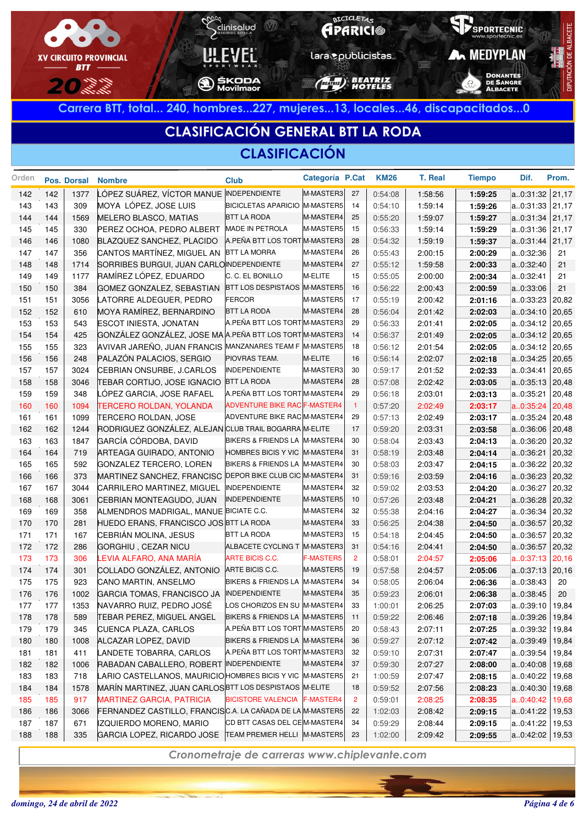

# **CLASIFICACIÓN GENERAL BTT LA RODA**

### **CLASIFICACIÓN**

| Orden |     |      | Pos. Dorsal Nombre                                        | <b>Club</b>                          | Categoría P.Cat  |                | <b>KM26</b> | <b>T. Real</b> | <b>Tiempo</b> | Dif.              | Prom. |
|-------|-----|------|-----------------------------------------------------------|--------------------------------------|------------------|----------------|-------------|----------------|---------------|-------------------|-------|
| 142   | 142 | 1377 | LÓPEZ SUÁREZ, VÍCTOR MANUE                                | <b>INDEPENDIENTE</b>                 | M-MASTER3        | 27             | 0:54:08     | 1:58:56        | 1:59:25       | $a.0:31:32$ 21,17 |       |
| 143   | 143 | 309  | MOYA LÓPEZ, JOSE LUIS                                     | <b>BICICLETAS APARICIO</b>           | M-MASTER5        | 14             | 0:54:10     | 1:59:14        | 1:59:26       | a0:31:33          | 21,17 |
| 144   | 144 | 1569 | MELERO BLASCO, MATIAS                                     | <b>BTT LA RODA</b>                   | M-MASTER4        | 25             | 0:55:20     | 1:59:07        | 1:59:27       | a0:31:34          | 21,17 |
| 145   | 145 | 330  | PEREZ OCHOA, PEDRO ALBERT                                 | <b>MADE IN PETROLA</b>               | M-MASTER5        | 15             | 0:56:33     | 1:59:14        | 1:59:29       | a0:31:36          | 21,17 |
| 146   | 146 | 1080 | BLAZQUEZ SANCHEZ, PLACIDO                                 | A.PEÑA BTT LOS TORT M-MASTER3        |                  | 28             | 0:54:32     | 1:59:19        | 1:59:37       | a.0:31:44         | 21,17 |
| 147   | 147 | 356  | CANTOS MARTÍNEZ, MIGUEL AN                                | <b>BTT LA MORRA</b>                  | M-MASTER4        | 26             | 0:55:43     | 2:00:15        | 2:00:29       | a0:32:36          | 21    |
| 148   | 148 | 1714 | SORRIBES BURGUI, JUAN CARLOINDEPENDIENTE                  |                                      | M-MASTER4        | 27             | 0:55:12     | 1:59:58        | 2:00:33       | a0:32:40          | 21    |
| 149   | 149 | 1177 | RAMÍREZ LÓPEZ, EDUARDO                                    | C. C. EL BONILLO                     | M-ELITE          | 15             | 0:55:05     | 2:00:00        | 2:00:34       | a0:32:41          | 21    |
| 150   | 150 | 384  | GOMEZ GONZALEZ, SEBASTIAN                                 | <b>BTT LOS DESPISTAOS</b>            | M-MASTER5        | 16             | 0:56:22     | 2:00:43        | 2:00:59       | a.0.33.06         | 21    |
| 151   | 151 | 3056 | LATORRE ALDEGUER, PEDRO                                   | <b>FERCOR</b>                        | M-MASTER5        | 17             | 0:55:19     | 2:00:42        | 2:01:16       | a0:33:23          | 20,82 |
| 152   | 152 | 610  | MOYA RAMÍREZ, BERNARDINO                                  | <b>BTT LA RODA</b>                   | M-MASTER4        | 28             | 0:56:04     | 2:01:42        | 2:02:03       | a0:34:10          | 20,65 |
| 153   | 153 | 543  | ESCOT INIESTA, JONATAN                                    | A.PEÑA BTT LOS TORT M-MASTER3        |                  | 29             | 0:56:33     | 2:01:41        | 2:02:05       | a0:34:12          | 20,65 |
| 154   | 154 | 425  | GONZÁLEZ GONZÁLEZ, JOSE MA A PEÑA BTT LOS TORT M-MASTER3  |                                      |                  | 14             | 0:56:37     | 2:01:49        | 2:02:05       | a0:34:12          | 20,65 |
| 155   | 155 | 323  | AVIVAR JAREÑO, JUAN FRANCIS                               | MANZANARES TEAM F M-MASTER5          |                  | 18             | 0:56:12     | 2:01:54        | 2:02:05       | a0:34:12          | 20,65 |
| 156   | 156 | 248  | PALAZÓN PALACIOS, SERGIO                                  | PIOVRAS TEAM.                        | <b>M-ELITE</b>   | 16             | 0:56:14     | 2:02:07        | 2:02:18       | a0:34:25          | 20,65 |
| 157   | 157 | 3024 | CEBRIAN ONSURBE, J.CARLOS                                 | <b>INDEPENDIENTE</b>                 | M-MASTER3        | 30             | 0:59:17     | 2:01:52        | 2:02:33       | a0:34:41          | 20,65 |
| 158   | 158 | 3046 | TEBAR CORTIJO, JOSE IGNACIO                               | <b>BTT LA RODA</b>                   | M-MASTER4        | 28             | 0:57:08     | 2:02:42        | 2:03:05       | a.0.35.13         | 20,48 |
| 159   | 159 | 348  | LÓPEZ GARCIA, JOSE RAFAEL                                 | A.PEÑA BTT LOS TORT M-MASTER4        |                  | 29             | 0:56:18     | 2:03:01        | 2:03:13       | a0:35:21          | 20,48 |
| 160   | 160 | 1094 | <b>TERCERO ROLDAN, YOLANDA</b>                            | <b>ADVENTURE BIKE RAC F-MASTER4</b>  |                  | $\overline{1}$ | 0:57:20     | 2:02:49        | 2:03:17       | a0:35:24          | 20,48 |
| 161   | 161 | 1099 | TERCERO ROLDAN, JOSE                                      | ADVENTURE BIKE RAC M-MASTER4         |                  | 29             | 0:57:13     | 2:02:49        | 2:03:17       | a0:35:24          | 20,48 |
| 162   | 162 | 1244 | RODRIGUEZ GONZÁLEZ, ALEJAN CLUB TRAIL BOGARRA M-ELITE     |                                      |                  | 17             | 0:59:20     | 2:03:31        | 2:03:58       | a0:36:06          | 20,48 |
| 163   | 163 | 1847 | GARCÍA CÓRDOBA, DAVID                                     | BIKERS & FRIENDS LA M-MASTER4        |                  | 30             | 0:58:04     | 2:03:43        | 2:04:13       | a0:36:20          | 20,32 |
| 164   | 164 | 719  | ARTEAGA GUIRADO, ANTONIO                                  | HOMBRES BICIS Y VIC M-MASTER4        |                  | 31             | 0:58:19     | 2:03:48        | 2:04:14       | a0:36:21          | 20,32 |
| 165   | 165 | 592  | GONZALEZ TERCERO, LOREN                                   | BIKERS & FRIENDS LA M-MASTER4        |                  | 30             | 0:58:03     | 2:03:47        | 2:04:15       | a0:36:22          | 20,32 |
| 166   | 166 | 373  | MARTINEZ SANCHEZ, FRANCISC                                | <b>DEPOR BIKE CLUB CIC M-MASTER4</b> |                  | 31             | 0:59:16     | 2:03:59        | 2:04:16       | a0:36:23          | 20,32 |
| 167   | 167 | 3044 | CARRILERO MARTINEZ, MIGUEL                                | INDEPENDIENTE                        | M-MASTER4        | 32             | 0:59:02     | 2:03:53        | 2:04:20       | a0:36:27          | 20,32 |
| 168   | 168 | 3061 | CEBRIAN MONTEAGUDO, JUAN                                  | INDEPENDIENTE                        | M-MASTER5        | 10             | 0:57:26     | 2:03:48        | 2:04:21       | a0:36:28          | 20,32 |
| 169   | 169 | 358  | ALMENDROS MADRIGAL, MANUE                                 | <b>BICIATE C.C.</b>                  | M-MASTER4        | 32             | 0:55:38     | 2:04:16        | 2:04:27       | a0:36:34          | 20,32 |
| 170   | 170 | 281  | HUEDO ERANS, FRANCISCO JOS BTT LA RODA                    |                                      | M-MASTER4        | 33             | 0:56:25     | 2:04:38        | 2:04:50       | a0:36:57          | 20,32 |
| 171   | 171 | 167  | CEBRIÁN MOLINA, JESUS                                     | <b>BTT LA RODA</b>                   | M-MASTER3        | 15             | 0:54:18     | 2:04:45        | 2:04:50       | a0:36:57          | 20,32 |
| 172   | 172 | 286  | GORGHIU, CEZAR NICU                                       | ALBACETE CYCLING T                   | M-MASTER3        | 31             | 0:54:16     | 2:04:41        | 2:04:50       | a0:36:57          | 20,32 |
| 173   | 173 | 306  | LEVIA ALFARO, ANA MARÍA                                   | <b>ARTE BICIS C.C.</b>               | <b>F-MASTER5</b> | $\overline{2}$ | 0:58:01     | 2:04:57        | 2:05:06       | a.0:37:13         | 20,16 |
| 174   | 174 | 301  | COLLADO GONZÁLEZ, ANTONIO                                 | ARTE BICIS C.C.                      | M-MASTER5        | 19             | 0:57:58     | 2:04:57        | 2:05:06       | a0:37:13          | 20,16 |
| 175   | 175 | 923  | CANO MARTIN, ANSELMO                                      | BIKERS & FRIENDS LA M-MASTER4        |                  | 34             | 0:58:05     | 2:06:04        | 2:06:36       | a0:38:43          | 20    |
| 176   | 176 | 1002 | GARCIA TOMAS, FRANCISCO JA                                | <b>INDEPENDIENTE</b>                 | M-MASTER4        | 35             | 0:59:23     | 2:06:01        | 2:06:38       | a0:38:45          | 20    |
| 177   | 177 | 1353 | NAVARRO RUIZ, PEDRO JOSÉ                                  | LOS CHORIZOS EN SU M-MASTER4         |                  | 33             | 1:00:01     | 2:06:25        | 2:07:03       | a0:39:10          | 19,84 |
| 178   | 178 | 589  | TEBAR PEREZ, MIGUEL ANGEL                                 | BIKERS & FRIENDS LA M-MASTER5        |                  | $11$           | 0:59:22     | 2:06:46        | 2:07:18       | a0:39:26          | 19,84 |
| 179   | 179 | 345  | <b>CUENCA PLAZA, CARLOS</b>                               | A.PEÑA BTT LOS TORT M-MASTER5        |                  | 20             | 0:58:43     | 2:07:11        | 2:07:25       | a0:39:32          | 19,84 |
| 180   | 180 | 1008 | ALCAZAR LOPEZ, DAVID                                      | BIKERS & FRIENDS LA M-MASTER4        |                  | 36             | 0:59:27     | 2:07:12        | 2:07:42       | a0:39:49          | 19,84 |
| 181   | 181 | 411  | LANDETE TOBARRA, CARLOS                                   | A.PEÑA BTT LOS TORT M-MASTER3        |                  | 32             | 0:59:10     | 2:07:31        | 2:07:47       | a0:39:54          | 19,84 |
| 182   | 182 | 1006 | RABADAN CABALLERO, ROBERT INDEPENDIENTE                   |                                      | M-MASTER4        | 37             | 0:59:30     | 2:07:27        | 2:08:00       | a0:40:08          | 19,68 |
| 183   | 183 | 718  | LARIO CASTELLANOS, MAURICIO HOMBRES BICIS Y VIC M-MASTER5 |                                      |                  | 21             | 1:00:59     | 2:07:47        | 2:08:15       | a0:40:22          | 19,68 |
| 184   | 184 | 1578 | MARÍN MARTINEZ, JUAN CARLOS BTT LOS DESPISTAOS M-ELITE    |                                      |                  | 18             | 0:59:52     | 2:07:56        | 2:08:23       | a0:40:30          | 19,68 |
| 185   | 185 | 917  | <b>MARTINEZ GARCIA, PATRICIA</b>                          | <b>BICISTORE VALENCIA</b>            | <b>F-MASTER4</b> | $\overline{2}$ | 0:59:01     | 2:08:25        | 2:08:35       | a.0:40:42         | 19,68 |
| 186   | 186 | 3066 | FERNANDEZ CASTILLO, FRANCISCA. LA CAÑADA DE LA M-MASTER5  |                                      |                  | 22             | 1:02:03     | 2:08:42        | 2:09:15       | a0:41:22          | 19,53 |
| 187   | 187 | 671  | IZQUIERDO MORENO, MARIO                                   | CD BTT CASAS DEL CEM-MASTER4         |                  | 34             | 0:59:29     | 2:08:44        | 2:09:15       | a0:41:22          | 19,53 |
| 188   | 188 | 335  | GARCIA LOPEZ, RICARDO JOSE                                | TEAM PREMIER HELLI M-MASTER5         |                  | 23             | 1:02:00     | 2:09:42        | 2:09:55       | $a.0:42:02$ 19,53 |       |
|       |     |      |                                                           |                                      |                  |                |             |                |               |                   |       |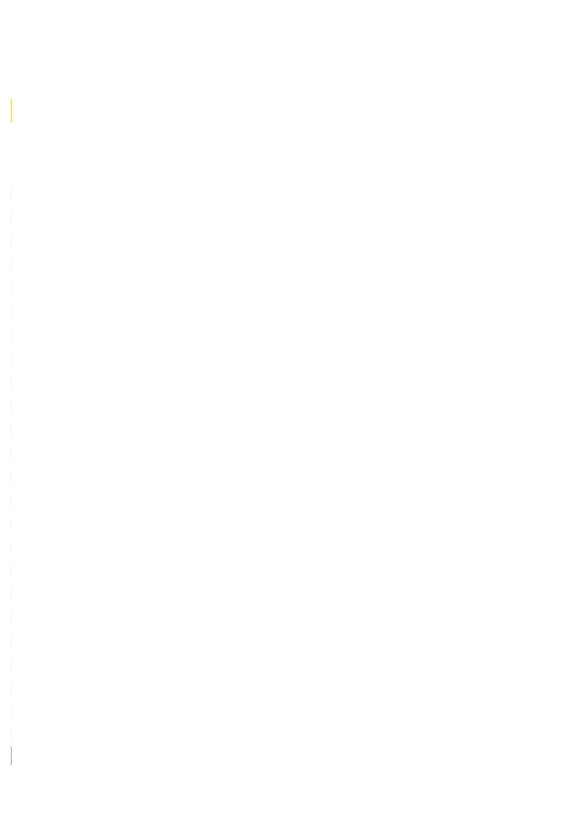$\frac{1}{1}$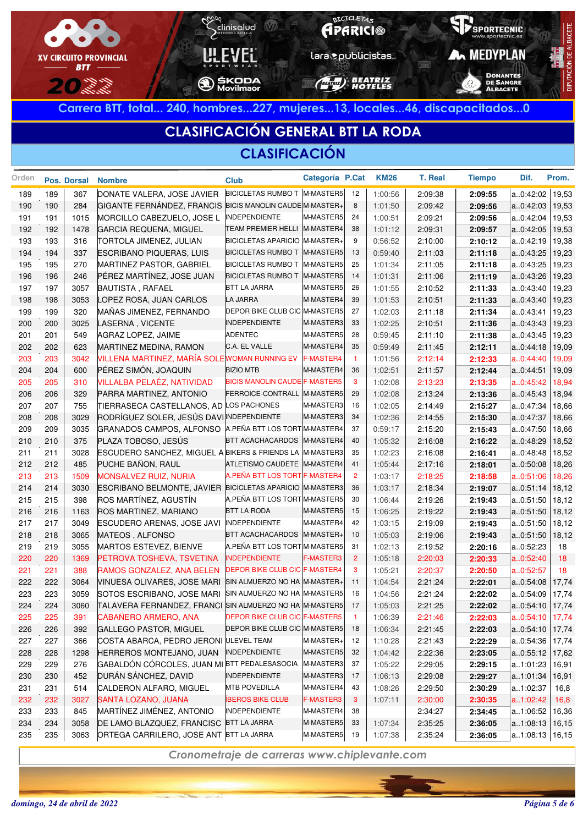

## **CLASIFICACIÓN GENERAL BTT LA RODA**

### **CLASIFICACIÓN**

| Orden |     | Pos. Dorsal | <b>Nombre</b>                                            | <b>Club</b>                          | Categoría P.Cat  |                | <b>KM26</b> | <b>T. Real</b> | <b>Tiempo</b> | Dif.              | Prom. |
|-------|-----|-------------|----------------------------------------------------------|--------------------------------------|------------------|----------------|-------------|----------------|---------------|-------------------|-------|
| 189   | 189 | 367         | DONATE VALERA, JOSE JAVIER                               | <b>BICICLETAS RUMBO T</b>            | M-MASTER5        | 12             | 1:00:56     | 2:09:38        | 2:09:55       | a0:42:02          | 19,53 |
| 190   | 190 | 284         | GIGANTE FERNÁNDEZ, FRANCIS                               | BICIS MANOLIN CAUDE M-MASTER+        |                  | 8              | 1:01:50     | 2:09:42        | 2:09:56       | a.0:42:03         | 19,53 |
| 191   | 191 | 1015        | MORCILLO CABEZUELO, JOSE L                               | <b>INDEPENDIENTE</b>                 | M-MASTER5        | 24             | 1:00:51     | 2:09:21        | 2:09:56       | a0:42:04          | 19,53 |
| 192   | 192 | 1478        | <b>GARCIA REQUENA, MIGUEL</b>                            | <b>TEAM PREMIER HELLI</b>            | M-MASTER4        | 38             | 1:01:12     | 2:09:31        | 2:09:57       | a0:42:05          | 19,53 |
| 193   | 193 | 316         | TORTOLA JIMENEZ, JULIAN                                  | <b>BICICLETAS APARICIO M-MASTER+</b> |                  | 9              | 0:56:52     | 2:10:00        | 2:10:12       | a0:42:19          | 19,38 |
| 194   | 194 | 337         | <b>ESCRIBANO PIQUERAS, LUIS</b>                          | BICICLETAS RUMBO T   M-MASTER5       |                  | 13             | 0:59:40     | 2:11:03        | 2:11:18       | a0:43:25          | 19,23 |
| 195   | 195 | 270         | MARTINEZ PASTOR, GABRIEL                                 | <b>BICICLETAS RUMBO T</b>            | M-MASTER5        | 25             | 1:01:34     | 2:11:05        | 2:11:18       | a0:43:25          | 19,23 |
| 196   | 196 | 246         | PÉREZ MARTÍNEZ, JOSE JUAN                                | <b>BICICLETAS RUMBO T</b>            | M-MASTER5        | 14             | 1:01:31     | 2:11:06        | 2:11:19       | a0:43:26          | 19,23 |
| 197   | 197 | 3057        | <b>BAUTISTA, RAFAEL</b>                                  | <b>BTT LA JARRA</b>                  | M-MASTER5        | 26             | 1:01:55     | 2:10:52        | 2:11:33       | a0:43:40          | 19,23 |
| 198   | 198 | 3053        | LOPEZ ROSA, JUAN CARLOS                                  | <b>LA JARRA</b>                      | M-MASTER4        | 39             | 1:01:53     | 2:10:51        | 2:11:33       | a0:43:40          | 19,23 |
| 199   | 199 | 320         | MAÑAS JIMENEZ, FERNANDO                                  | <b>DEPOR BIKE CLUB CIC M-MASTER5</b> |                  | 27             | 1:02:03     | 2:11:18        | 2:11:34       | a0:43:41          | 19,23 |
| 200   | 200 | 3025        | LASERNA, VICENTE                                         | <b>INDEPENDIENTE</b>                 | M-MASTER3        | 33             | 1:02:25     | 2:10:51        | 2:11:36       | a0:43:43          | 19,23 |
| 201   | 201 | 549         | AGRAZ LOPEZ, JAIME                                       | <b>ADENTEC</b>                       | M-MASTER5        | 28             | 0:59:45     | 2:11:10        | 2:11:38       | a0:43:45          | 19,23 |
| 202   | 202 | 623         | MARTINEZ MEDINA, RAMON                                   | C.A. EL VALLE                        | M-MASTER4        | 35             | 0:59:49     | 2:11:45        | 2:12:11       | a0:44:18          | 19,09 |
| 203   | 203 | 3042        | VILLENA MARTINEZ, MARÍA SOLE WOMAN RUNNING EV            |                                      | F-MASTER4        | $\overline{1}$ | 1:01:56     | 2:12:14        | 2:12:33       | a0:44:40          | 19,09 |
| 204   | 204 | 600         | PÉREZ SIMÓN, JOAQUIN                                     | <b>BIZIO MTB</b>                     | M-MASTER4        | 36             | 1:02:51     | 2:11:57        | 2:12:44       | a0:44:51          | 19,09 |
| 205   | 205 | 310         | VILLALBA PELAÉZ, NATIVIDAD                               | <b>BICIS MANOLIN CAUDE F-MASTER5</b> |                  | 3              | 1:02:08     | 2:13:23        | 2:13:35       | a.0:45:42         | 18,94 |
| 206   | 206 | 329         | PARRA MARTINEZ, ANTONIO                                  | FERROICE-CONTRALL                    | M-MASTER5        | 29             | 1:02:08     | 2:13:24        | 2:13:36       | a.0:45:43         | 18,94 |
| 207   | 207 | 755         | TIERRASECA CASTELLANOS, AD                               | <b>LOS PACHONES</b>                  | M-MASTER3        | 16             | 1:02:05     | 2:14:49        | 2:15:27       | a0:47:34          | 18,66 |
| 208   | 208 | 3029        | RODRÍGUEZ SOLER, JESÚS DAVI INDEPENDIENTE                |                                      | M-MASTER3        | 34             | 1:02:36     | 2:14:55        | 2:15:30       | a0:47:37          | 18,66 |
| 209   | 209 | 3035        | GRANADOS CAMPOS, ALFONSO                                 | A.PEÑA BTT LOS TORT M-MASTER4        |                  | 37             | 0:59:17     | 2:15:20        | 2:15:43       | a0:47:50          | 18,66 |
| 210   | 210 | 375         | PLAZA TOBOSO, JESÚS                                      | BTT ACACHACARDOS M-MASTER4           |                  | 40             | 1:05:32     | 2:16:08        | 2:16:22       | a0:48:29          | 18,52 |
| 211   | 211 | 3028        | ESCUDERO SANCHEZ, MIGUEL A BIKERS & FRIENDS LA M-MASTER3 |                                      |                  | 35             | 1:02:23     | 2:16:08        | 2:16:41       | a0:48:48          | 18,52 |
| 212   | 212 | 485         | PUCHE BAÑON, RAUL                                        | ATLETISMO CAUDETE M-MASTER4          |                  | 41             | 1:05:44     | 2:17:16        | 2:18:01       | a0:50:08          | 18,26 |
| 213   | 213 | 1509        | MONSALVEZ RUIZ, NURIA                                    | A.PEÑA BTT LOS TORT F-MASTER4        |                  | $\overline{2}$ | 1:03:17     | 2:18:25        | 2:18:58       | a.0:51:06         | 18,26 |
| 214   | 214 | 3030        | ESCRIBANO BELMONTE, JAVIER BICICLETAS APARICIO M-MASTER3 |                                      |                  | 36             | 1:03:17     | 2:18:34        | 2:19:07       | a0:51:14          | 18,12 |
| 215   | 215 | 398         | ROS MARTÍNEZ, AGUSTÍN                                    | A.PEÑA BTT LOS TORT M-MASTER5        |                  | 30             | 1:06:44     | 2:19:26        | 2:19:43       | a0:51:50          | 18,12 |
| 216   | 216 | 1163        | ROS MARTINEZ, MARIANO                                    | BTT LA RODA                          | M-MASTER5        | 15             | 1:06:25     | 2:19:22        | 2:19:43       | a0:51:50          | 18,12 |
| 217   | 217 | 3049        | ESCUDERO ARENAS, JOSE JAVI                               | <b>INDEPENDIENTE</b>                 | M-MASTER4        | 42             | 1:03:15     | 2:19:09        | 2:19:43       | a0:51:50          | 18,12 |
| 218   | 218 | 3065        | MATEOS, ALFONSO                                          | BTT ACACHACARDOS M-MASTER+           |                  | 10             | 1:05:03     | 2:19:06        | 2:19:43       | a0:51:50          | 18,12 |
| 219   | 219 | 3055        | MARTOS ESTEVEZ, BIENVE                                   | A.PEÑA BTT LOS TORT M-MASTER5        |                  | 31             | 1:02:13     | 2:19:52        | 2:20:16       | a0:52:23          | 18    |
| 220   | 220 | 1369        | PETROVA TOSHEVA, TSVETINA                                | <b>INDEPENDIENTE</b>                 | <b>F-MASTER3</b> | $\overline{2}$ | 1:05:18     | 2:20:03        | 2:20:33       | a0:52:40          | 18    |
| 221   | 221 | 388         | RAMOS GONZALEZ, ANA BELEN                                | <b>DEPOR BIKE CLUB CIC F-MASTER4</b> |                  | 3              | 1:05:21     | 2:20:37        | 2:20:50       | a0:52:57          | 18    |
| 222   | 222 | 3064        | VINUESA OLIVARES, JOSE MARI                              | SIN ALMUERZO NO HA M-MASTER+         |                  | 11             | 1:04:54     | 2:21:24        | 2:22:01       | a0:54:08          | 17,74 |
| 223   | 223 | 3059        | SOTOS ESCRIBANO, JOSE MARI                               | SIN ALMUERZO NO HA M-MASTER5         |                  | 16             | 1:04:56     | 2:21:24        | 2:22:02       | a0:54:09          | 17,74 |
| 224   | 224 | 3060        | TALAVERA FERNANDEZ, FRANCI SIN ALMUERZO NO HA M-MASTER5  |                                      |                  | 17             | 1:05:03     | 2:21:25        | 2:22:02       | a0:54:10          | 17,74 |
| 225   | 225 | 391         | CABAÑERO ARMERO, ANA                                     | DEPOR BIKE CLUB CIC F-MASTER5        |                  | $\overline{1}$ | 1:06:39     | 2:21:46        | 2:22:03       | $a.0:54:10$ 17,74 |       |
| 226   | 226 | 392         | <b>GALLEGO PASTOR, MIGUEL</b>                            | DEPOR BIKE CLUB CIC M-MASTER5        |                  | 18             | 1:06:34     | 2:21:45        | 2:22:03       | a0:54:10          | 17,74 |
| 227   | 227 | 366         | COSTA ABARCA, PEDRO JERONI                               | ULEVEL TEAM                          | M-MASTER+        | 12             | 1:10:28     | 2:21:43        | 2:22:29       | a.0:54:36         | 17,74 |
| 228   | 228 | 1298        | HERREROS MONTEJANO, JUAN                                 | <b>INDEPENDIENTE</b>                 | M-MASTER5        | 32             | 1:04:42     | 2:22:36        | 2:23:05       | a0:55:12          | 17,62 |
| 229   | 229 | 276         | GABALDÓN CÓRCOLES, JUAN MI                               | <b>BTT PEDALESASOCIA</b>             | M-MASTER3        | 37             | 1:05:22     | 2:29:05        | 2:29:15       | a1:01:23          | 16,91 |
| 230   | 230 | 452         | DURÁN SÁNCHEZ, DAVID                                     | <b>INDEPENDIENTE</b>                 | M-MASTER3        | 17             | 1:06:13     | 2:29:08        | 2:29:27       | a1:01:34          | 16,91 |
| 231   | 231 | 514         | CALDERON ALFARO, MIGUEL                                  | <b>MTB POVEDILLA</b>                 | M-MASTER4        | 43             | 1:08:26     | 2:29:50        | 2:30:29       | a1:02:37          | 16,8  |
| 232   | 232 | 3027        | SANTA LOZANO, JUANA                                      | <b>ÍBEROS BIKE CLUB</b>              | <b>F-MASTER3</b> | 3              | 1:07:11     | 2:30:00        | 2:30:35       | a1:02:42          | 16,8  |
| 233   | 233 | 845         | MARTÍNEZ JIMÉNEZ, ANTONIO                                | <b>INDEPENDIENTE</b>                 | M-MASTER4        | 38             |             | 2:34:27        | 2:34:45       | a1:06:52 16,36    |       |
| 234   | 234 | 3058        | DE LAMO BLAZQUEZ, FRANCISC                               | <b>BTT LA JARRA</b>                  | M-MASTER5        | 33             | 1:07:34     | 2:35:25        | 2:36:05       | $a1:08:13$ 16,15  |       |
| 235   | 235 | 3063        | ORTEGA CARRILERO, JOSE ANT BTT LA JARRA                  |                                      | M-MASTER5        | 19             | 1:07:38     | 2:35:24        | 2:36:05       | $a.1:08:13$ 16,15 |       |